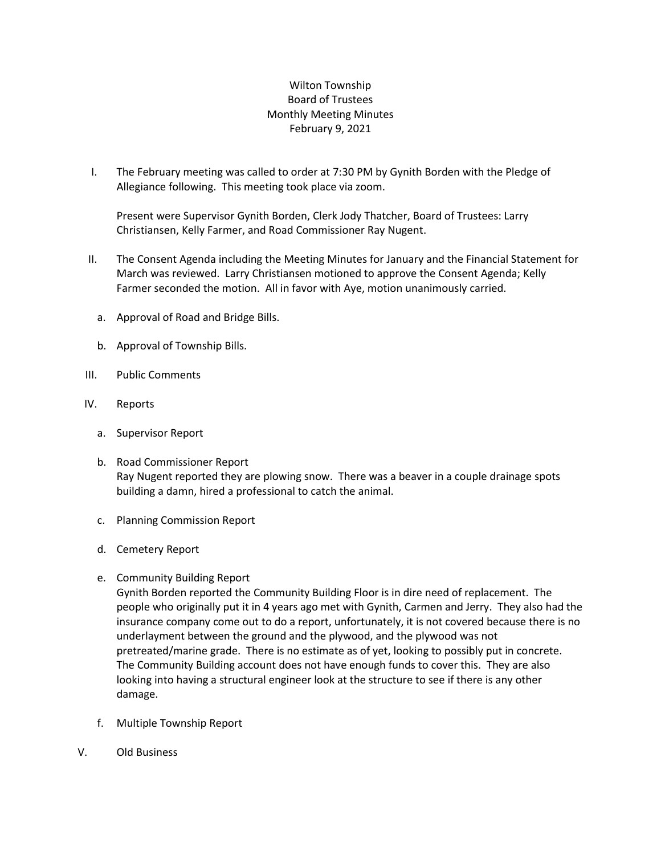## Wilton Township Board of Trustees Monthly Meeting Minutes February 9, 2021

I. The February meeting was called to order at 7:30 PM by Gynith Borden with the Pledge of Allegiance following. This meeting took place via zoom.

Present were Supervisor Gynith Borden, Clerk Jody Thatcher, Board of Trustees: Larry Christiansen, Kelly Farmer, and Road Commissioner Ray Nugent.

- II. The Consent Agenda including the Meeting Minutes for January and the Financial Statement for March was reviewed. Larry Christiansen motioned to approve the Consent Agenda; Kelly Farmer seconded the motion. All in favor with Aye, motion unanimously carried.
	- a. Approval of Road and Bridge Bills.
	- b. Approval of Township Bills.
- III. Public Comments
- IV. Reports
	- a. Supervisor Report
	- b. Road Commissioner Report Ray Nugent reported they are plowing snow. There was a beaver in a couple drainage spots building a damn, hired a professional to catch the animal.
	- c. Planning Commission Report
	- d. Cemetery Report
	- e. Community Building Report

Gynith Borden reported the Community Building Floor is in dire need of replacement. The people who originally put it in 4 years ago met with Gynith, Carmen and Jerry. They also had the insurance company come out to do a report, unfortunately, it is not covered because there is no underlayment between the ground and the plywood, and the plywood was not pretreated/marine grade. There is no estimate as of yet, looking to possibly put in concrete. The Community Building account does not have enough funds to cover this. They are also looking into having a structural engineer look at the structure to see if there is any other damage.

- f. Multiple Township Report
- V. Old Business